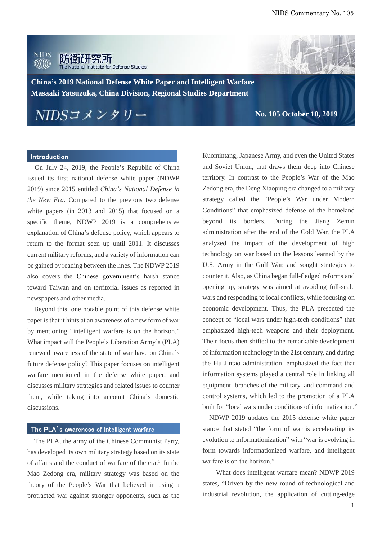

**China's 2019 National Defense White Paper and Intelligent Warfare Masaaki Yatsuzuka, China Division, Regional Studies Department**

 $NIDSZXZY$ 

**No. 105 October 10, 2019**

#### Introduction

On July 24, 2019, the People's Republic of China issued its first national defense white paper (NDWP 2019) since 2015 entitled *China's National Defense in the New Era*. Compared to the previous two defense white papers (in 2013 and 2015) that focused on a specific theme, NDWP 2019 is a comprehensive explanation of China's defense policy, which appears to return to the format seen up until 2011. It discusses current military reforms, and a variety of information can be gained by reading between the lines. The NDWP 2019 also covers the Chinese government's harsh stance toward Taiwan and on territorial issues as reported in newspapers and other media.

Beyond this, one notable point of this defense white paper is that it hints at an awareness of a new form of war by mentioning "intelligent warfare is on the horizon." What impact will the People's Liberation Army's (PLA) renewed awareness of the state of war have on China's future defense policy? This paper focuses on intelligent warfare mentioned in the defense white paper, and discusses military strategies and related issues to counter them, while taking into account China's domestic discussions.

#### The PLA's awareness of intelligent warfare

The PLA, the army of the Chinese Communist Party, has developed its own military strategy based on its state of affairs and the conduct of warfare of the era.<sup>1</sup> In the Mao Zedong era, military strategy was based on the theory of the People's War that believed in using a protracted war against stronger opponents, such as the

Kuomintang, Japanese Army, and even the United States and Soviet Union, that draws them deep into Chinese territory. In contrast to the People's War of the Mao Zedong era, the Deng Xiaoping era changed to a military strategy called the "People's War under Modern Conditions" that emphasized defense of the homeland beyond its borders. During the Jiang Zemin administration after the end of the Cold War, the PLA analyzed the impact of the development of high technology on war based on the lessons learned by the U.S. Army in the Gulf War, and sought strategies to counter it. Also, as China began full-fledged reforms and opening up, strategy was aimed at avoiding full-scale wars and responding to local conflicts, while focusing on economic development. Thus, the PLA presented the concept of "local wars under high-tech conditions" that emphasized high-tech weapons and their deployment. Their focus then shifted to the remarkable development of information technology in the 21st century, and during the Hu Jintao administration, emphasized the fact that information systems played a central role in linking all equipment, branches of the military, and command and control systems, which led to the promotion of a PLA built for "local wars under conditions of informatization."

NDWP 2019 updates the 2015 defense white paper stance that stated "the form of war is accelerating its evolution to informationization" with "war is evolving in form towards informationized warfare, and intelligent warfare is on the horizon."

What does intelligent warfare mean? NDWP 2019 states, "Driven by the new round of technological and industrial revolution, the application of cutting-edge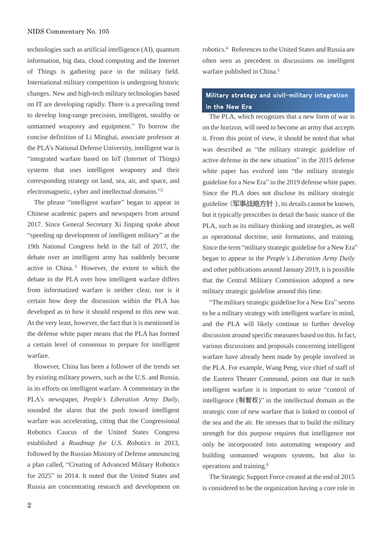technologies such as artificial intelligence (AI), quantum information, big data, cloud computing and the Internet of Things is gathering pace in the military field. International military competition is undergoing historic changes. New and high-tech military technologies based on IT are developing rapidly. There is a prevailing trend to develop long-range precision, intelligent, stealthy or unmanned weaponry and equipment." To borrow the concise definition of Li Minghai, associate professor at the PLA's National Defense University, intelligent war is "integrated warfare based on IoT (Internet of Things) systems that uses intelligent weaponry and their corresponding strategy on land, sea, air, and space, and electromagnetic, cyber and intellectual domains." 2

The phrase "intelligent warfare" began to appear in Chinese academic papers and newspapers from around 2017. Since General Secretary Xi Jinping spoke about "speeding up development of intelligent military" at the 19th National Congress held in the fall of 2017, the debate over an intelligent army has suddenly become active in China. <sup>3</sup> However, the extent to which the debate in the PLA over how intelligent warfare differs from informatized warfare is neither clear, nor is it certain how deep the discussion within the PLA has developed as to how it should respond to this new war. At the very least, however, the fact that it is mentioned in the defense white paper means that the PLA has formed a certain level of consensus to prepare for intelligent warfare.

However, China has been a follower of the trends set by existing military powers, such as the U.S. and Russia, in its efforts on intelligent warfare. A commentary in the PLA's newspaper, *People's Liberation Army Daily*, sounded the alarm that the push toward intelligent warfare was accelerating, citing that the Congressional Robotics Caucus of the United States Congress established a *Roadmap for U.S. Robotics* in 2013, followed by the Russian Ministry of Defense announcing a plan called, "Creating of Advanced Military Robotics for 2025" in 2014. It noted that the United States and Russia are concentrating research and development on

robotics.<sup>4</sup> References to the United States and Russia are often seen as precedent in discussions on intelligent warfare published in China.<sup>5</sup>

## Military strategy and civil-military integration in the New Era

The PLA, which recognizes that a new form of war is on the horizon, will need to become an army that accepts it. From this point of view, it should be noted that what was described as "the military strategic guideline of active defense in the new situation" in the 2015 defense white paper has evolved into "the military strategic guideline for a New Era" in the 2019 defense white paper. Since the PLA does not disclose its military strategic guideline(军事战略方针), its details cannot be known, but it typically prescribes in detail the basic stance of the PLA, such as its military thinking and strategies, as well as operational doctrine, unit formations, and training. Since the term "military strategic guideline for a New Era" began to appear in the *People's Liberation Army Daily* and other publications around January 2019, it is possible that the Central Military Commission adopted a new military strategic guideline around this time.

"The military strategic guideline for a New Era" seems to be a military strategy with intelligent warfare in mind, and the PLA will likely continue to further develop discussion around specific measures based on this. In fact, various discussions and proposals concerning intelligent warfare have already been made by people involved in the PLA. For example, Wang Peng, vice chief of staff of the Eastern Theater Command, points out that in such intelligent warfare it is important to seize "control of intelligence (制智权)" in the intellectual domain as the strategic core of new warfare that is linked to control of the sea and the air. He stresses that to build the military strength for this purpose requires that intelligence not only be incorporated into automating weaponry and building unmanned weapons systems, but also in operations and training.<sup>6</sup>

The Strategic Support Force created at the end of 2015 is considered to be the organization having a core role in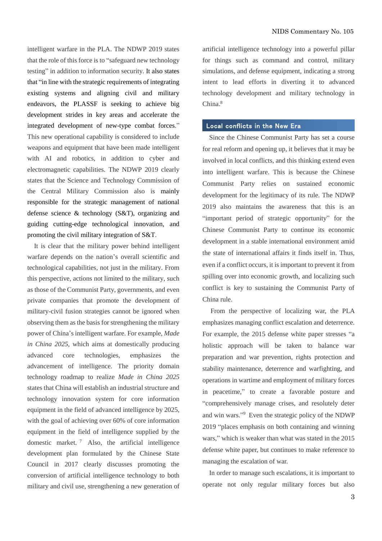intelligent warfare in the PLA. The NDWP 2019 states that the role of this force is to "safeguard new technology testing" in addition to information security. It also states that "in line with the strategic requirements of integrating existing systems and aligning civil and military endeavors, the PLASSF is seeking to achieve big development strides in key areas and accelerate the integrated development of new-type combat forces." This new operational capability is considered to include weapons and equipment that have been made intelligent with AI and robotics, in addition to cyber and electromagnetic capabilities. The NDWP 2019 clearly states that the Science and Technology Commission of the Central Military Commission also is mainly responsible for the strategic management of national defense science & technology (S&T), organizing and guiding cutting-edge technological innovation, and promoting the civil military integration of S&T.

It is clear that the military power behind intelligent warfare depends on the nation's overall scientific and technological capabilities, not just in the military. From this perspective, actions not limited to the military, such as those of the Communist Party, governments, and even private companies that promote the development of military-civil fusion strategies cannot be ignored when observing them as the basis for strengthening the military power of China's intelligent warfare. For example, *Made in China 2025*, which aims at domestically producing advanced core technologies, emphasizes the advancement of intelligence. The priority domain technology roadmap to realize *Made in China 2025* states that China will establish an industrial structure and technology innovation system for core information equipment in the field of advanced intelligence by 2025, with the goal of achieving over 60% of core information equipment in the field of intelligence supplied by the domestic market.  $\frac{7}{1}$  Also, the artificial intelligence development plan formulated by the Chinese State Council in 2017 clearly discusses promoting the conversion of artificial intelligence technology to both military and civil use, strengthening a new generation of artificial intelligence technology into a powerful pillar for things such as command and control, military simulations, and defense equipment, indicating a strong intent to lead efforts in diverting it to advanced technology development and military technology in  $China<sup>8</sup>$ 

#### Local conflicts in the New Era

Since the Chinese Communist Party has set a course for real reform and opening up, it believes that it may be involved in local conflicts, and this thinking extend even into intelligent warfare. This is because the Chinese Communist Party relies on sustained economic development for the legitimacy of its rule. The NDWP 2019 also maintains the awareness that this is an "important period of strategic opportunity" for the Chinese Communist Party to continue its economic development in a stable international environment amid the state of international affairs it finds itself in. Thus, even if a conflict occurs, it is important to prevent it from spilling over into economic growth, and localizing such conflict is key to sustaining the Communist Party of China rule.

From the perspective of localizing war, the PLA emphasizes managing conflict escalation and deterrence. For example, the 2015 defense white paper stresses "a holistic approach will be taken to balance war preparation and war prevention, rights protection and stability maintenance, deterrence and warfighting, and operations in wartime and employment of military forces in peacetime," to create a favorable posture and "comprehensively manage crises, and resolutely deter and win wars." <sup>9</sup> Even the strategic policy of the NDWP 2019 "places emphasis on both containing and winning wars," which is weaker than what was stated in the 2015 defense white paper, but continues to make reference to managing the escalation of war.

In order to manage such escalations, it is important to operate not only regular military forces but also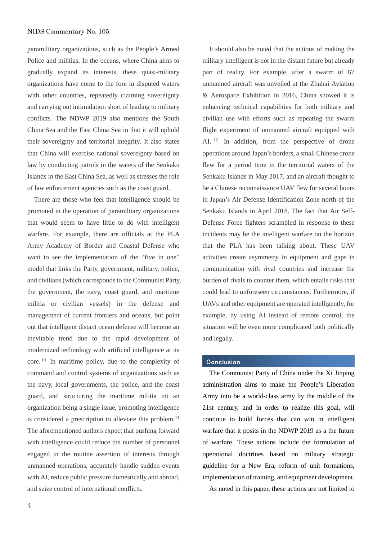paramilitary organizations, such as the People's Armed Police and militias. In the oceans, where China aims to gradually expand its interests, these quasi-military organizations have come to the fore in disputed waters with other countries, repeatedly claiming sovereignty and carrying out intimidation short of leading to military conflicts. The NDWP 2019 also mentions the South China Sea and the East China Sea in that it will uphold their sovereignty and territorial integrity. It also states that China will exercise national sovereignty based on law by conducting patrols in the waters of the Senkaku Islands in the East China Sea, as well as stresses the role of law enforcement agencies such as the coast guard.

There are those who feel that intelligence should be promoted in the operation of paramilitary organizations that would seem to have little to do with intelligent warfare. For example, there are officials at the PLA Army Academy of Border and Coastal Defense who want to see the implementation of the "five in one" model that links the Party, government, military, police, and civilians (which corresponds to the Communist Party, the government, the navy, coast guard, and maritime militia or civilian vessels) in the defense and management of current frontiers and oceans, but point out that intelligent distant ocean defense will become an inevitable trend due to the rapid development of modernized technology with artificial intelligence at its core. <sup>10</sup> In maritime policy, due to the complexity of command and control systems of organizations such as the navy, local governments, the police, and the coast guard, and structuring the maritime militia int an organization being a single issue, promoting intelligence is considered a prescription to alleviate this problem.<sup>11</sup> The aforementioned authors expect that pushing forward with intelligence could reduce the number of personnel engaged in the routine assertion of interests through unmanned operations, accurately handle sudden events with AI, reduce public pressure domestically and abroad, and seize control of international conflicts.

4

It should also be noted that the actions of making the military intelligent is not in the distant future but already part of reality. For example, after a swarm of 67 unmanned aircraft was unveiled at the Zhuhai Aviation & Aerospace Exhibition in 2016, China showed it is enhancing technical capabilities for both military and civilian use with efforts such as repeating the swarm flight experiment of unmanned aircraft equipped with AI.<sup>12</sup> In addition, from the perspective of drone operations around Japan's borders, a small Chinese drone flew for a period time in the territorial waters of the Senkaku Islands in May 2017, and an aircraft thought to be a Chinese reconnaissance UAV flew for several hours in Japan's Air Defense Identification Zone north of the Senkaku Islands in April 2018. The fact that Air Self-Defense Force fighters scrambled in response to these incidents may be the intelligent warfare on the horizon that the PLA has been talking about. These UAV activities create asymmetry in equipment and gaps in communication with rival countries and increase the burden of rivals to counter them, which entails risks that could lead to unforeseen circumstances. Furthermore, if UAVs and other equipment are operated intelligently, for example, by using AI instead of remote control, the situation will be even more complicated both politically and legally.

### Conclusion

The Communist Party of China under the Xi Jinping administration aims to make the People's Liberation Army into be a world-class army by the middle of the 21st century, and in order to realize this goal, will continue to build forces that can win in intelligent warfare that it posits in the NDWP 2019 as a the future of warfare. These actions include the formulation of operational doctrines based on military strategic guideline for a New Era, reform of unit formations, implementation of training, and equipment development.

As noted in this paper, these actions are not limited to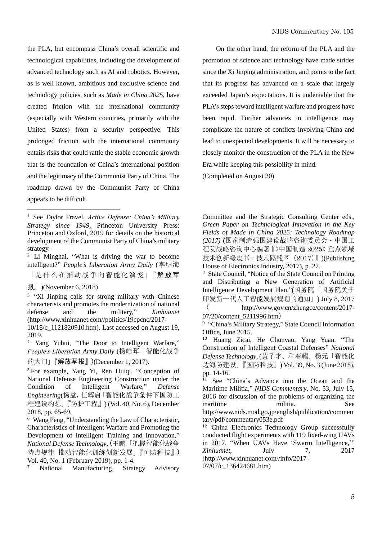the PLA, but encompass China's overall scientific and technological capabilities, including the development of advanced technology such as AI and robotics. However, as is well known, ambitious and exclusive science and technology policies, such as *Made in China 2025*, have created friction with the international community (especially with Western countries, primarily with the United States) from a security perspective. This prolonged friction with the international community entails risks that could rattle the stable economic growth that is the foundation of China's international position and the legitimacy of the Communist Party of China. The roadmap drawn by the Communist Party of China appears to be difficult.

<sup>2</sup> Li Minghai, "What is driving the war to become intelligent?" *People's Liberation Army Daily* (李明海 「是什么在推动战争向智能化演变」『解放军

 $\overline{a}$ 

<sup>3</sup> "Xi Jinping calls for strong military with Chinese characterists and promotes the modernization of national defense and the military," *Xinhuanet* (http://www.xinhuanet.com//politics/19cpcnc/2017-

10/18/c\_1121820910.htm). Last accessed on August 19, 2019.

<sup>4</sup> Yang Yuhui, "The Door to Intelligent Warfare," *People's Liberation Army Daily* (杨皓晖「智能化战争

的大门」『解放军报』)(December 1, 2017).

<sup>5</sup> For example, Yang Yi, Ren Huiqi, "Conception of National Defense Engineering Construction under the Condition of Intelligent Warfare," *Defense Engineering*(杨益,任辉启「智能化战争条件下国防工 程建设构想」『防护工程』) (Vol. 40, No. 6), December 2018, pp. 65-69.

<sup>6</sup> Wang Peng, "Understanding the Law of Characteristic, Characteristics of Intelligent Warfare and Promoting the Development of Intelligent Training and Innovation," *National Defense Technology*, (王鹏「把握智能化战争 特点规律 推动智能化训练创新发展」『国防科技』) Vol. 40, No. 1 (February 2019), pp. 1-4.

National Manufacturing, Strategy Advisory

On the other hand, the reform of the PLA and the promotion of science and technology have made strides since the Xi Jinping administration, and points to the fact that its progress has advanced on a scale that largely exceeded Japan's expectations. It is undeniable that the PLA's steps toward intelligent warfare and progress have been rapid. Further advances in intelligence may complicate the nature of conflicts involving China and lead to unexpected developments. It will be necessary to closely monitor the construction of the PLA in the New Era while keeping this possibility in mind.

(Completed on August 20)

Committee and the Strategic Consulting Center eds., *Green Paper on Technological Innovation in the Key Fields of Made in China 2025: Technology Roadmap (2017)* (国家制造强国建设战略咨询委员会・中国工 程院战略咨询中心编著『《中国制造 2025》重点领域 技术创新绿皮书:技术路线图 (2017)』)(Publishing House of Electronics Industry, 2017), p. 27.

<sup>8</sup> State Council, "Notice of the State Council on Printing and Distributing a New Generation of Artificial Intelligence Development Plan,"(国务院「国务院关于 印发新一代人工智能发展规划的通知」) July 8, 2017

( http://www.gov.cn/zhengce/content/2017- 07/20/content\_5211996.htm)

<sup>9</sup> "China's Military Strategy," State Council Information Office, June 2015.

<sup>10</sup> Huang Zicai, He Chunyao, Yang Yuan, "The Construction of Intelligent Coastal Defenses" *National Defense Technology*, (黄子才、和春耀、杨元「智能化 边海防建设」『国防科技』) Vol. 39, No. 3 (June 2018), pp. 14-16.

<sup>11</sup> See "China's Advance into the Ocean and the Maritime Militia," *NIDS Commentary*, No. 53, July 15, 2016 for discussion of the problems of organizing the maritime militia. See http://www.nids.mod.go.jp/english/publication/commen tary/pdf/commentary053e.pdf

<sup>12</sup> China Electronics Technology Group successfully conducted flight experiments with 119 fixed-wing UAVs in 2017. "When UAVs Have 'Swarm Intelligence,'" *Xinhuanet*, July 7, 2017 (http://www.xinhuanet.com//info/2017-

07/07/c\_136424681.htm)

<sup>1</sup> See Taylor Fravel, *Active Defense: China's Military Strategy since 1949*, Princeton University Press: Princeton and Oxford, 2019 for details on the historical development of the Communist Party of China's military strategy.

报』)(November 6, 2018)